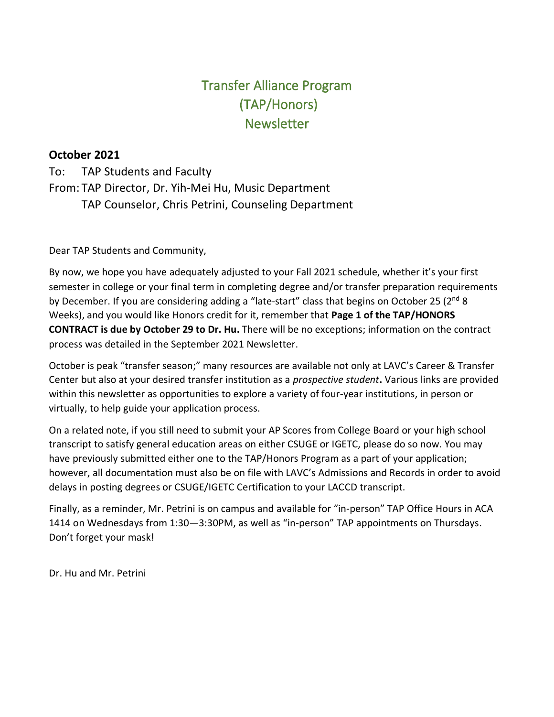# Transfer Alliance Program (TAP/Honors) Newsletter

## **October 2021**

To: TAP Students and Faculty From: TAP Director, Dr. Yih-Mei Hu, Music Department TAP Counselor, Chris Petrini, Counseling Department

Dear TAP Students and Community,

By now, we hope you have adequately adjusted to your Fall 2021 schedule, whether it's your first semester in college or your final term in completing degree and/or transfer preparation requirements by December. If you are considering adding a "late-start" class that begins on October 25 (2<sup>nd</sup> 8 Weeks), and you would like Honors credit for it, remember that **Page 1 of the TAP/HONORS CONTRACT is due by October 29 to Dr. Hu.** There will be no exceptions; information on the contract process was detailed in the September 2021 Newsletter.

October is peak "transfer season;" many resources are available not only at LAVC's Career & Transfer Center but also at your desired transfer institution as a *prospective student***.** Various links are provided within this newsletter as opportunities to explore a variety of four-year institutions, in person or virtually, to help guide your application process.

On a related note, if you still need to submit your AP Scores from College Board or your high school transcript to satisfy general education areas on either CSUGE or IGETC, please do so now. You may have previously submitted either one to the TAP/Honors Program as a part of your application; however, all documentation must also be on file with LAVC's Admissions and Records in order to avoid delays in posting degrees or CSUGE/IGETC Certification to your LACCD transcript.

Finally, as a reminder, Mr. Petrini is on campus and available for "in-person" TAP Office Hours in ACA 1414 on Wednesdays from 1:30—3:30PM, as well as "in-person" TAP appointments on Thursdays. Don't forget your mask!

Dr. Hu and Mr. Petrini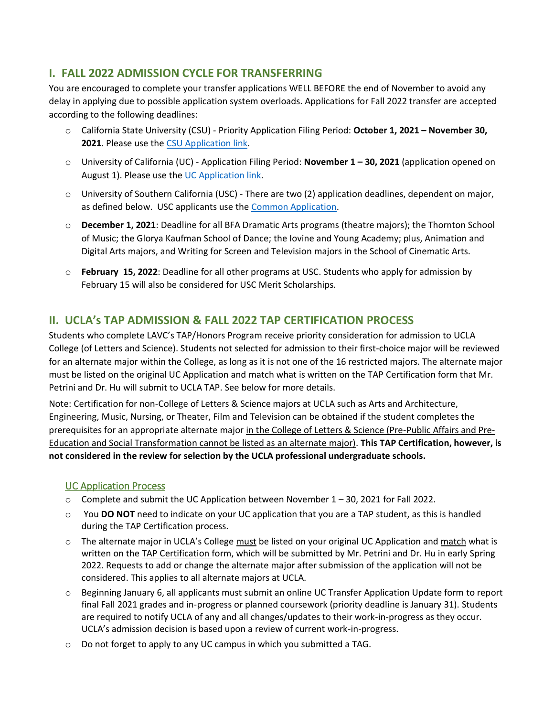## **I. FALL 2022 ADMISSION CYCLE FOR TRANSFERRING**

You are encouraged to complete your transfer applications WELL BEFORE the end of November to avoid any delay in applying due to possible application system overloads. Applications for Fall 2022 transfer are accepted according to the following deadlines:

- o California State University (CSU) Priority Application Filing Period: **October 1, 2021 – November 30, 2021**. Please use the [CSU Application link.](https://www.calstate.edu/apply/transfer)
- o University of California (UC) Application Filing Period: **November 1 – 30, 2021** (application opened on August 1). Please use the UC [Application link.](https://admission.universityofcalifornia.edu/how-to-apply/applying-as-a-transfer/)
- o University of Southern California (USC) There are two (2) application deadlines, dependent on major, as defined below. USC applicants use the [Common Application.](https://apply.transfer.commonapp.org/applicant-ux/#/login)
- o **December 1, 2021**: Deadline for all BFA Dramatic Arts programs (theatre majors); the Thornton School of Music; the Glorya Kaufman School of Dance; the Iovine and Young Academy; plus, Animation and Digital Arts majors, and Writing for Screen and Television majors in the School of Cinematic Arts.
- o **February 15, 2022**: Deadline for all other programs at USC. Students who apply for admission by February 15 will also be considered for USC Merit Scholarships.

## **II. UCLA's TAP ADMISSION & FALL 2022 TAP CERTIFICATION PROCESS**

Students who complete LAVC's TAP/Honors Program receive priority consideration for admission to UCLA College (of Letters and Science). Students not selected for admission to their first-choice major will be reviewed for an alternate major within the College, as long as it is not one of the 16 restricted majors. The alternate major must be listed on the original UC Application and match what is written on the TAP Certification form that Mr. Petrini and Dr. Hu will submit to UCLA TAP. See below for more details.

Note: Certification for non-College of Letters & Science majors at UCLA such as Arts and Architecture, Engineering, Music, Nursing, or Theater, Film and Television can be obtained if the student completes the prerequisites for an appropriate alternate major in the College of Letters & Science (Pre-Public Affairs and Pre-Education and Social Transformation cannot be listed as an alternate major). **This TAP Certification, however, is not considered in the review for selection by the UCLA professional undergraduate schools.**

#### UC Application Process

- $\circ$  Complete and submit the UC Application between November 1 30, 2021 for Fall 2022.
- o You **DO NOT** need to indicate on your UC application that you are a TAP student, as this is handled during the TAP Certification process.
- $\circ$  The alternate major in UCLA's College must be listed on your original UC Application and match what is written on the TAP Certification form, which will be submitted by Mr. Petrini and Dr. Hu in early Spring 2022. Requests to add or change the alternate major after submission of the application will not be considered. This applies to all alternate majors at UCLA.
- $\circ$  Beginning January 6, all applicants must submit an online UC Transfer Application Update form to report final Fall 2021 grades and in-progress or planned coursework (priority deadline is January 31). Students are required to notify UCLA of any and all changes/updates to their work-in-progress as they occur. UCLA's admission decision is based upon a review of current work-in-progress.
- o Do not forget to apply to any UC campus in which you submitted a TAG.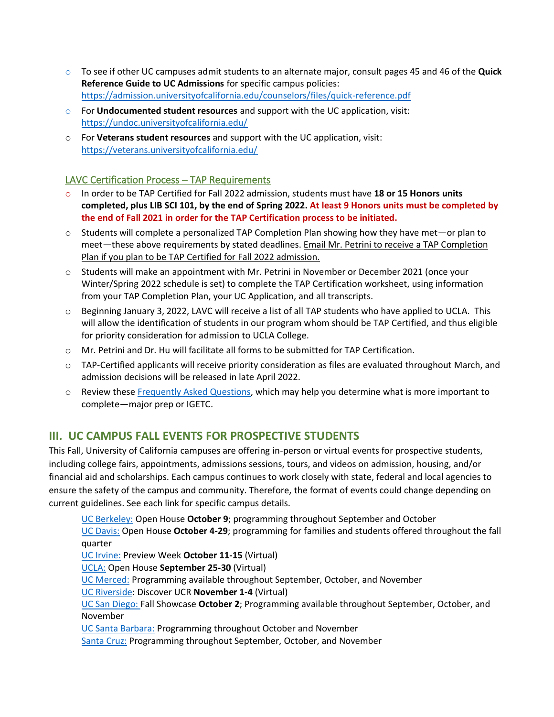- o To see if other UC campuses admit students to an alternate major, consult pages 45 and 46 of the **Quick Reference Guide to UC Admissions** for specific campus policies: <https://admission.universityofcalifornia.edu/counselors/files/quick-reference.pdf>
- o For **Undocumented student resources** and support with the UC application, visit: <https://undoc.universityofcalifornia.edu/>
- o For **Veterans student resources** and support with the UC application, visit: <https://veterans.universityofcalifornia.edu/>

#### LAVC Certification Process – TAP Requirements

- o In order to be TAP Certified for Fall 2022 admission, students must have **18 or 15 Honors units completed, plus LIB SCI 101, by the end of Spring 2022. At least 9 Honors units must be completed by the end of Fall 2021 in order for the TAP Certification process to be initiated.**
- o Students will complete a personalized TAP Completion Plan showing how they have met—or plan to meet—these above requirements by stated deadlines. Email Mr. Petrini to receive a TAP Completion Plan if you plan to be TAP Certified for Fall 2022 admission.
- $\circ$  Students will make an appointment with Mr. Petrini in November or December 2021 (once your Winter/Spring 2022 schedule is set) to complete the TAP Certification worksheet, using information from your TAP Completion Plan, your UC Application, and all transcripts.
- o Beginning January 3, 2022, LAVC will receive a list of all TAP students who have applied to UCLA. This will allow the identification of students in our program whom should be TAP Certified, and thus eligible for priority consideration for admission to UCLA College.
- o Mr. Petrini and Dr. Hu will facilitate all forms to be submitted for TAP Certification.
- $\circ$  TAP-Certified applicants will receive priority consideration as files are evaluated throughout March, and admission decisions will be released in late April 2022.
- o Review these [Frequently Asked Questions,](o%09http:/tap.ucla.edu/for-students-staff/tap-admission-and-certification-cycle/frequently-asked-questions#toggle-id-3) which may help you determine what is more important to complete—major prep or IGETC.

## **III. UC CAMPUS FALL EVENTS FOR PROSPECTIVE STUDENTS**

This Fall, University of California campuses are offering in-person or virtual events for prospective students, including college fairs, appointments, admissions sessions, tours, and videos on admission, housing, and/or financial aid and scholarships. Each campus continues to work closely with state, federal and local agencies to ensure the safety of the campus and community. Therefore, the format of events could change depending on current guidelines. See each link for specific campus details.

[UC Berkeley:](https://universityofcalifornia.us3.list-manage.com/track/click?u=85dd67450c3165234698f75b7&id=69e72f6981&e=380e267355) Open House **October 9**; programming throughout September and October [UC Davis:](https://universityofcalifornia.us3.list-manage.com/track/click?u=85dd67450c3165234698f75b7&id=29d6c02bab&e=380e267355) Open House **October 4-29**; programming for families and students offered throughout the fall quarter

[UC Irvine:](https://universityofcalifornia.us3.list-manage.com/track/click?u=85dd67450c3165234698f75b7&id=9d4e17c9d6&e=380e267355) Preview Week **October 11-15** (Virtual)

[UCLA:](https://universityofcalifornia.us3.list-manage.com/track/click?u=85dd67450c3165234698f75b7&id=b372096f7e&e=380e267355) Open House **September 25-30** (Virtual)

[UC Merced](https://universityofcalifornia.us3.list-manage.com/track/click?u=85dd67450c3165234698f75b7&id=43521d759f&e=380e267355)[:](https://universityofcalifornia.us3.list-manage.com/track/click?u=85dd67450c3165234698f75b7&id=f85bcc6b87&e=380e267355) Programming available throughout September, October, and November

[UC Riverside:](https://universityofcalifornia.us3.list-manage.com/track/click?u=85dd67450c3165234698f75b7&id=674f78e561&e=380e267355) Discover UCR **November 1-4** (Virtual)

[UC San Diego: F](https://universityofcalifornia.us3.list-manage.com/track/click?u=85dd67450c3165234698f75b7&id=28203452d6&e=380e267355)all Showcase **October 2**; Programming available throughout September, October, and November

[UC Santa Barbara:](https://universityofcalifornia.us3.list-manage.com/track/click?u=85dd67450c3165234698f75b7&id=5a98d9cdea&e=380e267355) Programming throughout October and November

[Santa Cruz:](https://universityofcalifornia.us3.list-manage.com/track/click?u=85dd67450c3165234698f75b7&id=c518c5e5e9&e=380e267355) Programming throughout September, October, and November